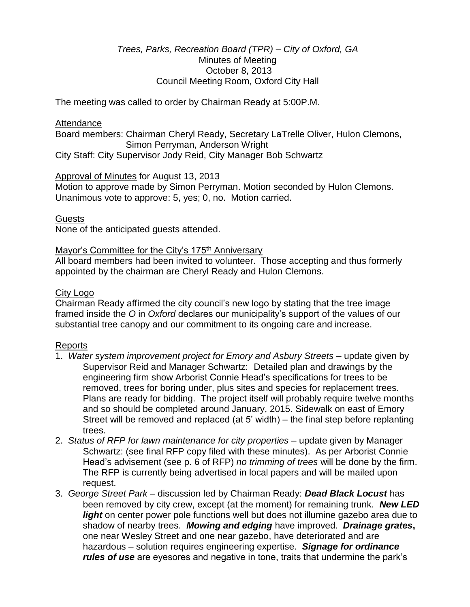## *Trees, Parks, Recreation Board (TPR) – City of Oxford, GA* Minutes of Meeting October 8, 2013 Council Meeting Room, Oxford City Hall

The meeting was called to order by Chairman Ready at 5:00P.M.

#### **Attendance**

Board members: Chairman Cheryl Ready, Secretary LaTrelle Oliver, Hulon Clemons, Simon Perryman, Anderson Wright

City Staff: City Supervisor Jody Reid, City Manager Bob Schwartz

### Approval of Minutes for August 13, 2013

Motion to approve made by Simon Perryman. Motion seconded by Hulon Clemons. Unanimous vote to approve: 5, yes; 0, no. Motion carried.

### **Guests**

None of the anticipated guests attended.

### Mayor's Committee for the City's 175<sup>th</sup> Anniversary

All board members had been invited to volunteer. Those accepting and thus formerly appointed by the chairman are Cheryl Ready and Hulon Clemons.

### City Logo

Chairman Ready affirmed the city council's new logo by stating that the tree image framed inside the *O* in *Oxford* declares our municipality's support of the values of our substantial tree canopy and our commitment to its ongoing care and increase.

### Reports

- 1. *Water system improvement project for Emory and Asbury Streets* update given by Supervisor Reid and Manager Schwartz: Detailed plan and drawings by the engineering firm show Arborist Connie Head's specifications for trees to be removed, trees for boring under, plus sites and species for replacement trees. Plans are ready for bidding. The project itself will probably require twelve months and so should be completed around January, 2015. Sidewalk on east of Emory Street will be removed and replaced (at 5' width) – the final step before replanting trees.
- 2. *Status of RFP for lawn maintenance for city properties* update given by Manager Schwartz: (see final RFP copy filed with these minutes). As per Arborist Connie Head's advisement (see p. 6 of RFP) *no trimming of trees* will be done by the firm. The RFP is currently being advertised in local papers and will be mailed upon request.
- 3. *George Street Park* discussion led by Chairman Ready: *Dead Black Locust* has been removed by city crew, except (at the moment) for remaining trunk.*New LED light* on center power pole functions well but does not illumine gazebo area due to shadow of nearby trees. *Mowing and edging* have improved. *Drainage grates***,** one near Wesley Street and one near gazebo, have deteriorated and are hazardous – solution requires engineering expertise. *Signage for ordinance rules of use* are eyesores and negative in tone, traits that undermine the park's